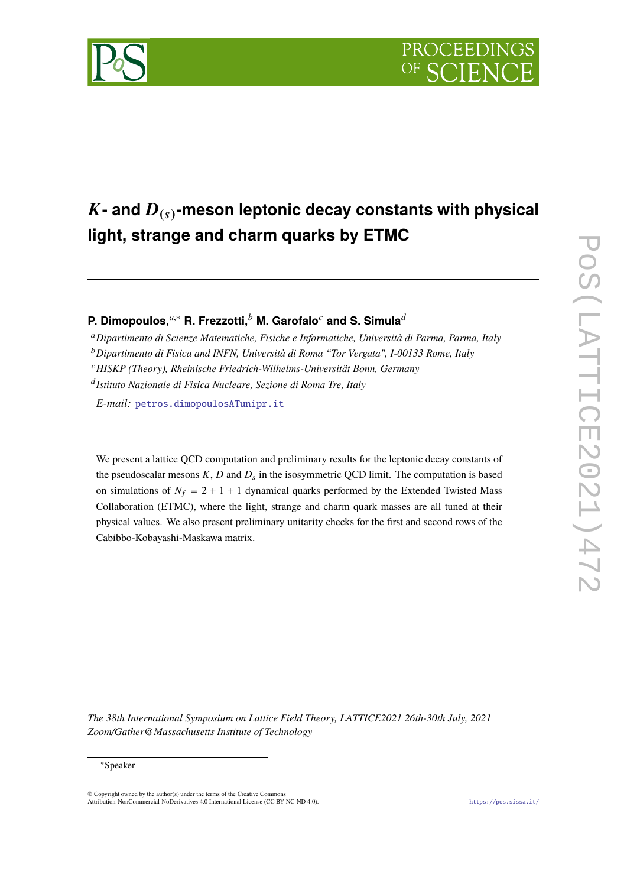

# $\boldsymbol{K}$ - and  $\boldsymbol{D}_{(s)}$ -meson leptonic decay constants with physical **light, strange and charm quarks by ETMC**

**P. Dimopoulos,***a*,<sup>∗</sup> **R. Frezzotti,***<sup>b</sup>* **M. Garofalo***<sup>c</sup>* **and S. Simula***<sup>d</sup>*

<sup>a</sup>*Dipartimento di Scienze Matematiche, Fisiche e Informatiche, Università di Parma, Parma, Italy*

<sup>b</sup>*Dipartimento di Fisica and INFN, Università di Roma "Tor Vergata", I-00133 Rome, Italy*

<sup>c</sup>*HISKP (Theory), Rheinische Friedrich-Wilhelms-Universität Bonn, Germany*

d *Istituto Nazionale di Fisica Nucleare, Sezione di Roma Tre, Italy*

*E-mail:* [petros.dimopoulosATunipr.it](mailto:petros.dimopoulosATunipr.it)

We present a lattice QCD computation and preliminary results for the leptonic decay constants of the pseudoscalar mesons  $K$ ,  $D$  and  $D<sub>s</sub>$  in the isosymmetric QCD limit. The computation is based on simulations of  $N_f = 2 + 1 + 1$  dynamical quarks performed by the Extended Twisted Mass Collaboration (ETMC), where the light, strange and charm quark masses are all tuned at their physical values. We also present preliminary unitarity checks for the first and second rows of the Cabibbo-Kobayashi-Maskawa matrix.

*The 38th International Symposium on Lattice Field Theory, LATTICE2021 26th-30th July, 2021 Zoom/Gather@Massachusetts Institute of Technology*



<sup>∗</sup>Speaker

 $\odot$  Copyright owned by the author(s) under the terms of the Creative Common Attribution-NonCommercial-NoDerivatives 4.0 International License (CC BY-NC-ND 4.0). <https://pos.sissa.it/>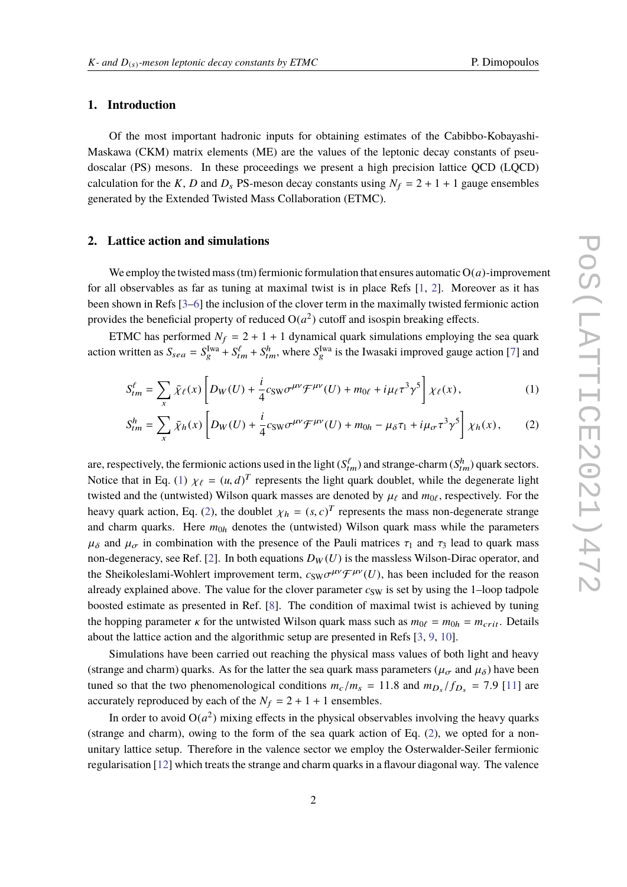### **1. Introduction**

Of the most important hadronic inputs for obtaining estimates of the Cabibbo-Kobayashi-Maskawa (CKM) matrix elements (ME) are the values of the leptonic decay constants of pseudoscalar (PS) mesons. In these proceedings we present a high precision lattice QCD (LQCD) calculation for the *K*, *D* and  $D_s$  PS-meson decay constants using  $N_f = 2 + 1 + 1$  gauge ensembles generated by the Extended Twisted Mass Collaboration (ETMC).

#### **2. Lattice action and simulations**

We employ the twisted mass (tm) fermionic formulation that ensures automatic  $O(a)$ -improvement for all observables as far as tuning at maximal twist is in place Refs [\[1,](#page-7-0) [2\]](#page-7-1). Moreover as it has been shown in Refs [\[3](#page-7-2)[–6\]](#page-7-3) the inclusion of the clover term in the maximally twisted fermionic action provides the beneficial property of reduced  $O(a^2)$  cutoff and isospin breaking effects.

ETMC has performed  $N_f = 2 + 1 + 1$  dynamical quark simulations employing the sea quark action written as  $S_{sea} = S_g^{\text{Iwa}} + S_{tm}^{\ell} + S_{tm}^h$ , where  $S_g^{\text{Iwa}}$  is the Iwasaki improved gauge action [\[7\]](#page-7-4) and

<span id="page-1-0"></span>
$$
S_{tm}^{\ell} = \sum_{x} \bar{\chi}_{\ell}(x) \left[ D_W(U) + \frac{i}{4} c_{\text{SW}} \sigma^{\mu \nu} \mathcal{F}^{\mu \nu}(U) + m_{0\ell} + i \mu_{\ell} \tau^3 \gamma^5 \right] \chi_{\ell}(x), \tag{1}
$$

<span id="page-1-1"></span>
$$
S_{tm}^h = \sum_x \bar{\chi}_h(x) \left[ D_W(U) + \frac{i}{4} c_{\text{SW}} \sigma^{\mu\nu} \mathcal{F}^{\mu\nu}(U) + m_{0h} - \mu_{\delta} \tau_1 + i \mu_{\sigma} \tau^3 \gamma^5 \right] \chi_h(x), \tag{2}
$$

are, respectively, the fermionic actions used in the light ( $S_{tm}^{\ell}$ ) and strange-charm ( $S_{tm}^h$ ) quark sectors. Notice that in Eq. [\(1\)](#page-1-0)  $\chi_{\ell} = (u, d)^T$  represents the light quark doublet, while the degenerate light the distribution of the contribution of the contribution of the contribution of the contribution of the state of the st twisted and the (untwisted) Wilson quark masses are denoted by  $\mu_{\ell}$  and  $m_{0\ell}$ , respectively. For the heavy quark action, Eq. [\(2\)](#page-1-1), the doublet  $\chi_h = (s, c)^T$  represents the mass non-degenerate strange<br>and above, weaks. Here we denotes the (untwisted) Wilson systems while the naromatographs and charm quarks. Here  $m<sub>0h</sub>$  denotes the (untwisted) Wilson quark mass while the parameters  $\mu_{\delta}$  and  $\mu_{\sigma}$  in combination with the presence of the Pauli matrices  $\tau_1$  and  $\tau_3$  lead to quark mass non-degeneracy, see Ref. [\[2\]](#page-7-1). In both equations  $D_W(U)$  is the massless Wilson-Dirac operator, and the Sheikoleslami-Wohlert improvement term,  $c_{SW} \sigma^{\mu\nu} \mathcal{F}^{\mu\nu}(U)$ , has been included for the reason already symbiol above. The value for the alguna parameter  $c_{\mu}$ , is set by using the 1 leap todrate already explained above. The value for the clover parameter  $c_{SW}$  is set by using the 1–loop tadpole boosted estimate as presented in Ref. [\[8\]](#page-7-5). The condition of maximal twist is achieved by tuning the hopping parameter  $\kappa$  for the untwisted Wilson quark mass such as  $m_{0\ell} = m_{0h} = m_{crit}$ . Details about the lattice action and the algorithmic setup are presented in Refs [\[3,](#page-7-2) [9,](#page-8-0) [10\]](#page-8-1).

Simulations have been carried out reaching the physical mass values of both light and heavy (strange and charm) quarks. As for the latter the sea quark mass parameters ( $\mu_{\sigma}$  and  $\mu_{\delta}$ ) have been tuned so that the two phenomenological conditions  $m_c/m_s = 11.8$  and  $m_{D_s}/f_{D_s} = 7.9$  [\[11\]](#page-8-2) are accurately reproduced by each of the  $N_f = 2 + 1 + 1$  ensembles.

In order to avoid  $O(a^2)$  mixing effects in the physical observables involving the heavy quarks (strange and charm), owing to the form of the sea quark action of Eq. [\(2\)](#page-1-1), we opted for a nonunitary lattice setup. Therefore in the valence sector we employ the Osterwalder-Seiler fermionic regularisation [\[12\]](#page-8-3) which treats the strange and charm quarks in a flavour diagonal way. The valence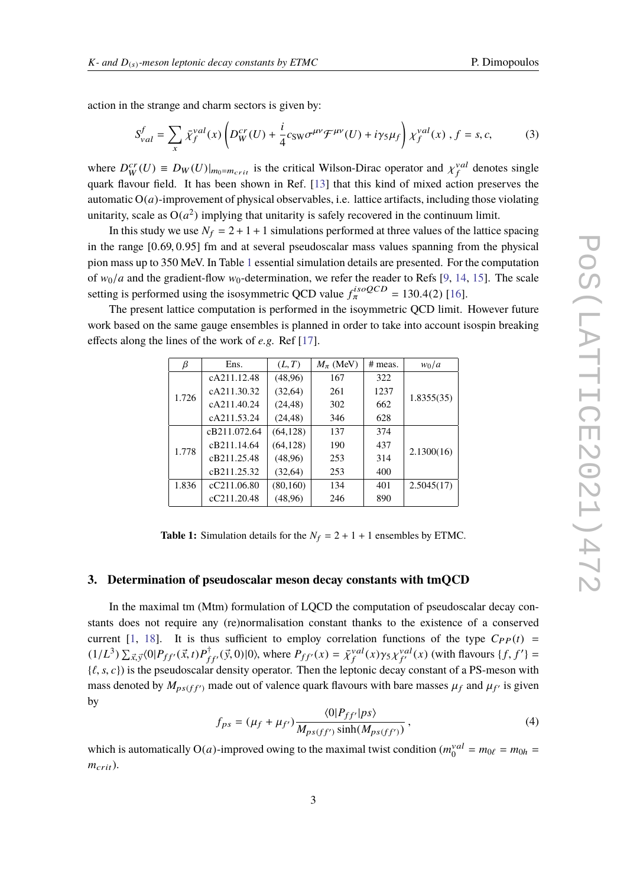action in the strange and charm sectors is given by:

$$
S_{val}^f = \sum_{x} \bar{\chi}_f^{val}(x) \left( D_W^{cr}(U) + \frac{i}{4} c_{\text{SW}} \sigma^{\mu \nu} \mathcal{F}^{\mu \nu}(U) + i \gamma_5 \mu_f \right) \chi_f^{val}(x) , f = s, c,
$$
 (3)

where  $D_W^{\text{cr}}(U) \equiv D_W(U)|_{m_0=m_{crit}}$  is the critical Wilson-Dirac operator and  $\chi_f^{\text{val}}$  denotes single<br>gyous flowers field. It has been above in Ref. [12] that this kind of mixed action presentes the quark flavour field. It has been shown in Ref. [\[13\]](#page-8-4) that this kind of mixed action preserves the automatic  $O(a)$ -improvement of physical observables, i.e. lattice artifacts, including those violating unitarity, scale as  $O(a^2)$  implying that unitarity is safely recovered in the continuum limit.

In this study we use  $N_f = 2 + 1 + 1$  simulations performed at three values of the lattice spacing in the range [0.69, <sup>0</sup>.95] fm and at several pseudoscalar mass values spanning from the physical pion mass up to 350 MeV. In Table [1](#page-2-0) essential simulation details are presented. For the computation of  $w_0/a$  and the gradient-flow  $w_0$ -determination, we refer the reader to Refs [\[9,](#page-8-0) [14,](#page-8-5) [15\]](#page-8-6). The scale setting is performed using the isosymmetric QCD value  $f_{\pi}^{isoQCD} = 130.4(2)$  [\[16\]](#page-8-7).<br>The greent lettice computation is performed in the isource of CD limit.

<span id="page-2-0"></span>The present lattice computation is performed in the isoymmetric QCD limit. However future work based on the same gauge ensembles is planned in order to take into account isospin breaking effects along the lines of the work of *e.g.* Ref [\[17\]](#page-8-8).

| β     | Ens.         | (L, T)    | $M_{\pi}$ (MeV) | # meas. | $w_0/a$    |  |
|-------|--------------|-----------|-----------------|---------|------------|--|
| 1.726 | cA211.12.48  | (48,96)   | 167             | 322     |            |  |
|       | cA211.30.32  | (32, 64)  | 261             | 1237    | 1.8355(35) |  |
|       | cA211.40.24  | (24, 48)  | 302             | 662     |            |  |
|       | cA211.53.24  | (24, 48)  | 346             | 628     |            |  |
| 1.778 | cB211.072.64 | (64, 128) | 137             | 374     | 2.1300(16) |  |
|       | cB211.14.64  | (64, 128) | 190             | 437     |            |  |
|       | cB211.25.48  | (48,96)   | 253             | 314     |            |  |
|       | cB211.25.32  | (32, 64)  | 253             | 400     |            |  |
| 1.836 | cC211.06.80  | (80,160)  | 134             | 401     | 2.5045(17) |  |
|       | cC211.20.48  | (48,96)   | 246             | 890     |            |  |

**Table 1:** Simulation details for the  $N_f = 2 + 1 + 1$  ensembles by ETMC.

#### **3. Determination of pseudoscalar meson decay constants with tmQCD**

In the maximal tm (Mtm) formulation of LQCD the computation of pseudoscalar decay constants does not require any (re)normalisation constant thanks to the existence of a conserved current [\[1,](#page-7-0) [18\]](#page-8-9). It is thus sufficient to employ correlation functions of the type  $C_{PP}(t)$  =  $(1/L^3) \sum_{\vec{x}, \vec{y}} \langle 0| P_{ff'}(\vec{x}, t) P_{ff'}^{\dagger}(\vec{y}, 0)|0 \rangle$ , where  $P_{ff'}(x) = \bar{\chi}_{f}^{val}(x) \gamma_5 \chi_{f'}^{val}(x)$  (with flavours  $\{f, f'\} =$  $\{\ell, s, c\}$ ) is the pseudoscalar density operator. Then the leptonic decay constant of a PS-meson with mass denoted by  $M_{ps(ff')}$  made out of valence quark flavours with bare masses  $\mu_f$  and  $\mu_{f'}$  is given by

$$
f_{ps} = (\mu_f + \mu_{f'}) \frac{\langle 0|P_{ff'}|ps\rangle}{M_{ps(ff')} \sinh(M_{ps(ff')})},
$$
\n(4)

which is automatically  $O(a)$ -improved owing to the maximal twist condition  $(m_0^{val})$  $\binom{val}{0} = m_{0\ell} = m_{0h} =$  $m_{crit}$ ).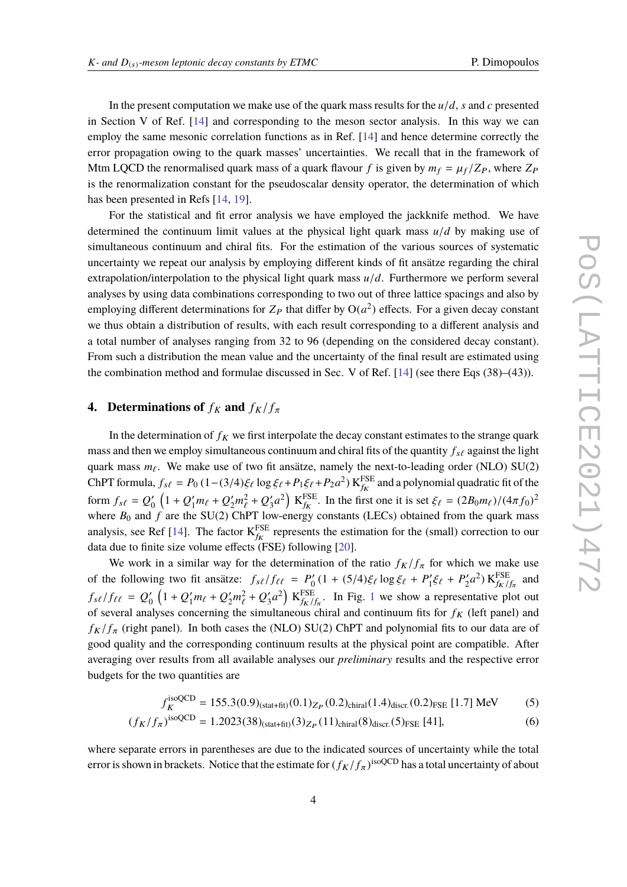In the present computation we make use of the quark mass results for the  $u/d$ , *s* and *c* presented in Section V of Ref. [\[14\]](#page-8-5) and corresponding to the meson sector analysis. In this way we can employ the same mesonic correlation functions as in Ref. [\[14\]](#page-8-5) and hence determine correctly the error propagation owing to the quark masses' uncertainties. We recall that in the framework of Mtm LQCD the renormalised quark mass of a quark flavour *f* is given by  $m_f = \mu_f / Z_P$ , where  $Z_P$ is the renormalization constant for the pseudoscalar density operator, the determination of which has been presented in Refs [\[14,](#page-8-5) [19\]](#page-8-10).

For the statistical and fit error analysis we have employed the jackknife method. We have determined the continuum limit values at the physical light quark mass *<sup>u</sup>*/*<sup>d</sup>* by making use of simultaneous continuum and chiral fits. For the estimation of the various sources of systematic uncertainty we repeat our analysis by employing different kinds of fit ansätze regarding the chiral extrapolation/interpolation to the physical light quark mass  $u/d$ . Furthermore we perform several analyses by using data combinations corresponding to two out of three lattice spacings and also by employing different determinations for  $Z_P$  that differ by  $O(a^2)$  effects. For a given decay constant we thus obtain a distribution of results, with each result corresponding to a different analysis and a total number of analyses ranging from 32 to 96 (depending on the considered decay constant). From such a distribution the mean value and the uncertainty of the final result are estimated using the combination method and formulae discussed in Sec. V of Ref. [\[14\]](#page-8-5) (see there Eqs (38)–(43)).

### **4.** Determinations of  $f_K$  and  $f_K/f_{\pi}$

In the determination of  $f_K$  we first interpolate the decay constant estimates to the strange quark mass and then we employ simultaneous continuum and chiral fits of the quantity  $f_{s\ell}$  against the light quark mass  $m_\ell$ . We make use of two fit ansätze, namely the next-to-leading order (NLO) SU(2) ChPT formula,  $f_{s\ell} = P_0 (1-(3/4)\xi_{\ell} \log \xi_{\ell} + P_1 \xi_{\ell} + P_2 a^2)$  K<sup>FSE</sup> and a polynomial quadratic fit of the form  $f_{s\ell} = Q_0'$  $\frac{1}{2} \left( 1 + Q_1' m_\ell + Q_2' m_\ell^2 + Q_3' \right)$ where  $B_0$  and  $\hat{f}$  are the SU(2) ChPT low-energy constants (LECs) obtained from the quark mass  $\left(\frac{3}{3}a^2\right)$  K<sup>FSE</sup>. In the first one it is set  $\xi_\ell = (2B_0m_\ell)/(4\pi f_0)^2$ analysis, see Ref [\[14\]](#page-8-5). The factor  $K_{f_k}^{FSE}$  represents the estimation for the (small) correction to our data due to finite size volume effects (FSE) following [\[20\]](#page-8-11).

We work in a similar way for the determination of the ratio  $f_K/f_\pi$  for which we make use of the following two fit ansätze:  $f_{s\ell}/f_{\ell\ell} = P_0'$  $\int_{0}^{b} (1 + (5/4)\xi_{\ell} \log \xi_{\ell} + P'_{1})$  $P'_1 \xi_{\ell} + P'_2$  $\chi^2$ <sub>2</sub> $a^2$ ) K<sub>*f<sub>K</sub>*/*f<sub>π</sub>* and</sub>  $f_K/f_\pi$  $f_{s\ell}/f_{\ell\ell} = Q_0'$  $\frac{1}{2}$   $\left(1 + Q'_1 m_\ell + Q'_2 m_\ell^2 + Q'_3\right)$ of several analyses concerning the simultaneous chiral and continuum fits for  $f_K$  (left panel) and  $\binom{7}{3}a^2$  K $\frac{FSE}{fk}/f_\pi$ . In Fig. [1](#page-4-0) we show a representative plot out  $f_K/f_\pi$  (right panel). In both cases the (NLO) SU(2) ChPT and polynomial fits to our data are of good quality and the corresponding continuum results at the physical point are compatible. After averaging over results from all available analyses our *preliminary* results and the respective error budgets for the two quantities are

<span id="page-3-0"></span>
$$
f_K^{\text{isoQCD}} = 155.3(0.9)_{\text{(stat+fit)}}(0.1)_{Z_P}(0.2)_{\text{chiral}}(1.4)_{\text{discr.}}(0.2)_{\text{FSE}} [1.7] \text{ MeV}
$$
 (5)

$$
(f_K/f_\pi)^{\text{isoQCD}} = 1.2023(38)_{(\text{stat+fit})}(3)_{Z_P}(11)_{\text{chiral}}(8)_{\text{discr.}}(5)_{\text{FSE}}[41],\tag{6}
$$

where separate errors in parentheses are due to the indicated sources of uncertainty while the total error is shown in brackets. Notice that the estimate for  $(f_K/f_\pi)^{\text{isoQCD}}$  has a total uncertainty of about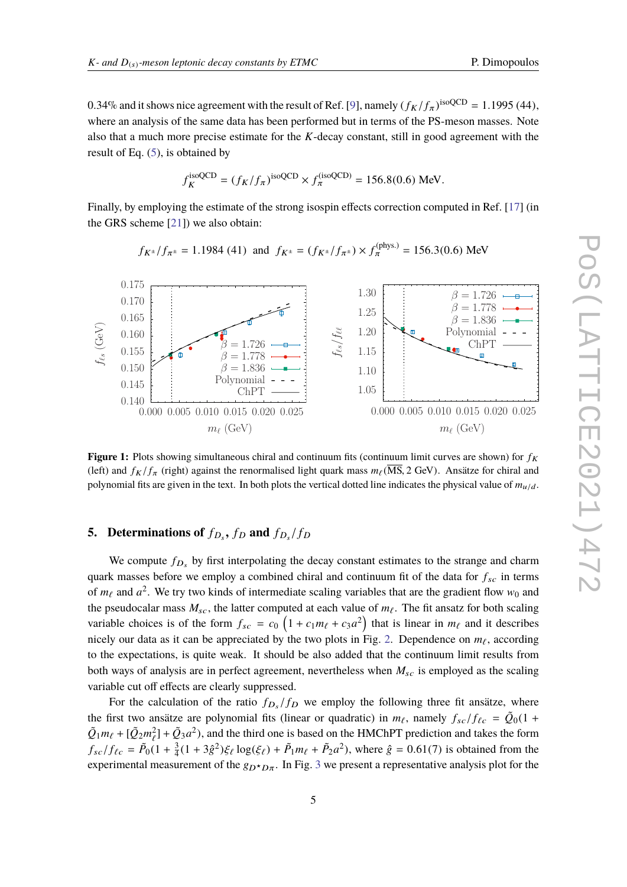0.34% and it shows nice agreement with the result of Ref. [\[9\]](#page-8-0), namely  $(f_K/f_\pi)^{isoQCD} = 1.1995$  (44), where an analysis of the same data has been performed but in terms of the PS-meson masses. Note also that a much more precise estimate for the *K*-decay constant, still in good agreement with the result of Eq. [\(5\)](#page-3-0), is obtained by

$$
f_K^{\text{isoQCD}} = (f_K/f_\pi)^{\text{isoQCD}} \times f_\pi^{\text{(isoQCD)}} = 156.8(0.6) \text{ MeV}.
$$

Finally, by employing the estimate of the strong isospin effects correction computed in Ref. [\[17\]](#page-8-8) (in the GRS scheme [\[21\]](#page-8-12)) we also obtain:

$$
f_{K^{\pm}}/f_{\pi^{\pm}} = 1.1984
$$
 (41) and  $f_{K^{\pm}} = (f_{K^{\pm}}/f_{\pi^{\pm}}) \times f_{\pi}^{(\text{phys.})} = 156.3(0.6)$  MeV

 $f_{\ell s}/f_{\ell\ell}$ 

1.30 1.25 1.20 1.15 1.10 1.05



ChPT Polynomial  $\beta = 1.836$  $\beta=1.778$  $= 1.726$ 

0.000 0.005 0.010 0.015 0.020 0.025

# **5.** Determinations of  $f_{D_s}$ ,  $f_D$  and  $f_{D_s}/f_D$

 $\epsilon_s$  (GeV)

<span id="page-4-0"></span>0.175 0.170 0.165 0.160 0.155 0.150 0.145 0.140

We compute  $f_{D_s}$  by first interpolating the decay constant estimates to the strange and charm quark masses before we employ a combined chiral and continuum fit of the data for  $f_{sc}$  in terms of  $m_\ell$  and  $a^2$ . We try two kinds of intermediate scaling variables that are the gradient flow  $w_0$  and the pseudocalar mass  $M_{sc}$ , the latter computed at each value of  $m_\ell$ . The fit ansatz for both scaling variable choices is of the form  $f_{sc} = c_0 \left(1 + c_1 m_\ell + c_3 a^2\right)$  that is linear in  $m_\ell$  and it describes nicely our data as it can be appreciated by the two plots in Fig. [2.](#page-5-0) Dependence on  $m_\ell$ , according to the expectations, is quite weak. It should be also added that the continuum limit results from both ways of analysis are in perfect agreement, nevertheless when  $M_{sc}$  is employed as the scaling variable cut off effects are clearly suppressed.

For the calculation of the ratio  $f_{D_s}/f_D$  we employ the following three fit ansätze, where the first two ansätze are polynomial fits (linear or quadratic) in  $m_\ell$ , namely  $f_{sc}/f_{\ell c} = \tilde{Q}_0(1 + \tilde{Q}_0 m + 1\tilde{Q}_0 m^2) + \tilde{Q}_0 a^2$  and the third are is heard on the UMChPT prediction and takes the form  $\tilde{Q}_1 m_\ell + [\tilde{Q}_2 m_\ell^2] + \tilde{Q}_3 a^2$ , and the third one is based on the HMChPT prediction and takes the form  $f_{sc}/f_{\ell c} = \tilde{P}_0(1 + \frac{3}{4})$  $\frac{3}{4}(1+3\hat{g}^2)\xi_{\ell} \log(\xi_{\ell}) + \tilde{P}_1 m_{\ell} + \tilde{P}_2 a^2$ , where  $\hat{g} = 0.61(7)$  is obtained from the experimental measurement of the  $g_{D^{\star}D\pi}$ . In Fig. [3](#page-5-1) we present a representative analysis plot for the

ChPT Polynomial  $\beta = 1.836$  $\beta = 1.778$  $\beta = 1.726$ 

0.000 0.005 0.010 0.015 0.020 0.025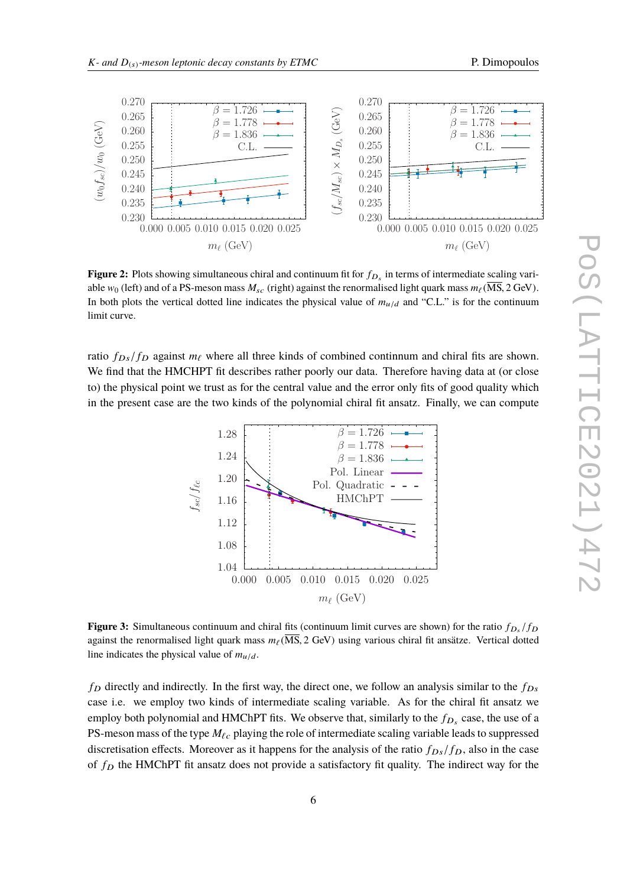<span id="page-5-0"></span>

**Figure 2:** Plots showing simultaneous chiral and continuum fit for  $f_{D_s}$  in terms of intermediate scaling variable  $w_0$  (left) and of a PS-meson mass  $M_{sc}$  (right) against the renormalised light quark mass  $m_\ell (\overline{MS}, 2 \text{ GeV})$ . In both plots the vertical dotted line indicates the physical value of  $m_{u/d}$  and "C.L." is for the continuum limit curve.

<span id="page-5-1"></span>ratio  $f_{Ds}/f_D$  against  $m_\ell$  where all three kinds of combined continnum and chiral fits are shown. We find that the HMCHPT fit describes rather poorly our data. Therefore having data at (or close to) the physical point we trust as for the central value and the error only fits of good quality which in the present case are the two kinds of the polynomial chiral fit ansatz. Finally, we can compute



**Figure 3:** Simultaneous continuum and chiral fits (continuum limit curves are shown) for the ratio  $f_{D_s}/f_D$ <br>equipst the concredited light quark mess m  $(M_s^{\text{S}} \text{2 GeV})$  using vertices chiral fit engites. Vertical detail against the renormalised light quark mass  $m_\ell(\overline{\text{MS}}, 2 \text{ GeV})$  using various chiral fit ansätze. Vertical dotted line indicates the physical value of  $m_{u/d}$ .

 $f<sub>D</sub>$  directly and indirectly. In the first way, the direct one, we follow an analysis similar to the  $f<sub>Ds</sub>$ case i.e. we employ two kinds of intermediate scaling variable. As for the chiral fit ansatz we employ both polynomial and HMChPT fits. We observe that, similarly to the  $f_{D_s}$  case, the use of a PS-meson mass of the type  $M_{\ell c}$  playing the role of intermediate scaling variable leads to suppressed discretisation effects. Moreover as it happens for the analysis of the ratio  $f_{Ds}/f_D$ , also in the case of  $f<sub>D</sub>$  the HMChPT fit ansatz does not provide a satisfactory fit quality. The indirect way for the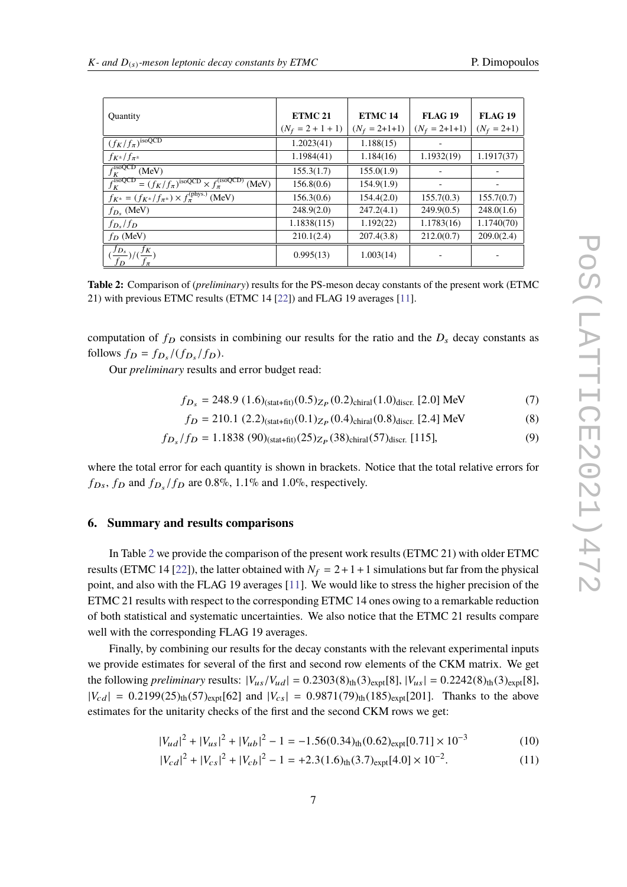<span id="page-6-0"></span>

| Quantity                                                                                     | ETMC <sub>21</sub>  | ETMC <sub>14</sub> | <b>FLAG 19</b>  | <b>FLAG 19</b> |
|----------------------------------------------------------------------------------------------|---------------------|--------------------|-----------------|----------------|
|                                                                                              | $(N_f = 2 + 1 + 1)$ | $(N_f = 2+1+1)$    | $(N_f = 2+1+1)$ | $(N_f = 2+1)$  |
| $(f_K/f_{\pi})^{\text{isoQCD}}$                                                              | 1.2023(41)          | 1.188(15)          |                 |                |
| $f_{K^{\pm}}/f_{\pi^{\pm}}$                                                                  | 1.1984(41)          | 1.184(16)          | 1.1932(19)      | 1.1917(37)     |
| $f_K^{\text{isoQCD}}$<br>(MeV)                                                               | 155.3(1.7)          | 155.0(1.9)         |                 |                |
| $f_K^{\text{isoQCD}} = (f_K/f_\pi)^{\text{isoQCD}} \times f_\pi^{\text{(isoQCD)}}$<br>(MeV)  | 156.8(0.6)          | 154.9(1.9)         |                 |                |
| $f_{K^{\pm}} = (f_{K^{\pm}}/\overline{f_{\pi^{\pm}}}) \times f_{\pi}^{(\text{phys.})}$ (MeV) | 156.3(0.6)          | 154.4(2.0)         | 155.7(0.3)      | 155.7(0.7)     |
| $f_{D_s}$ (MeV)                                                                              | 248.9(2.0)          | 247.2(4.1)         | 249.9(0.5)      | 248.0(1.6)     |
| $f_{D_s}/f_D$                                                                                | 1.1838(115)         | 1.192(22)          | 1.1783(16)      | 1.1740(70)     |
| $f_D$ (MeV)                                                                                  | 210.1(2.4)          | 207.4(3.8)         | 212.0(0.7)      | 209.0(2.4)     |
| $\frac{(f_{D_s}}{f_D})/(\frac{f_K}{f_\pi})$                                                  | 0.995(13)           | 1.003(14)          |                 |                |

**Table 2:** Comparison of (*preliminary*) results for the PS-meson decay constants of the present work (ETMC 21) with previous ETMC results (ETMC 14 [\[22\]](#page-8-13)) and FLAG 19 averages [\[11\]](#page-8-2).

computation of  $f_D$  consists in combining our results for the ratio and the  $D_s$  decay constants as follows  $f_D = f_{D_s}/(f_{D_s}/f_D)$ .

Our *preliminary* results and error budget read:

$$
f_{D_s} = 248.9 (1.6)(\text{stat+fit})(0.5)_{Z_P}(0.2)\text{chiral}(1.0)\text{discr. [2.0] MeV}
$$
 (7)

$$
f_D = 210.1 (2.2)_{\text{(stat+fit)}} (0.1)_{Z_P} (0.4)_{\text{chiral}} (0.8)_{\text{discr.}} [2.4] \text{ MeV}
$$
 (8)

$$
f_{D_s}/f_D = 1.1838 \ (90)_{\text{(stat+fit)}} (25)_{Z_P} (38)_{\text{chiral}} (57)_{\text{discr.}} [115], \tag{9}
$$

where the total error for each quantity is shown in brackets. Notice that the total relative errors for  $f_{Ds}$ ,  $f_D$  and  $f_{D_s}/f_D$  are 0.8%, 1.1% and 1.0%, respectively.

## **6. Summary and results comparisons**

In Table [2](#page-6-0) we provide the comparison of the present work results (ETMC 21) with older ETMC results (ETMC 14 [\[22\]](#page-8-13)), the latter obtained with  $N_f = 2 + 1 + 1$  simulations but far from the physical point, and also with the FLAG 19 averages [\[11\]](#page-8-2). We would like to stress the higher precision of the ETMC 21 results with respect to the corresponding ETMC 14 ones owing to a remarkable reduction of both statistical and systematic uncertainties. We also notice that the ETMC 21 results compare well with the corresponding FLAG 19 averages.

Finally, by combining our results for the decay constants with the relevant experimental inputs we provide estimates for several of the first and second row elements of the CKM matrix. We get the following *preliminary* results:  $|V_{us}/V_{ud}| = 0.2303(8)_{\text{th}}(3)_{\text{expt}}[8]$ ,  $|V_{us}| = 0.2242(8)_{\text{th}}(3)_{\text{expt}}[8]$ ,  $|V_{cd}| = 0.2199(25)_{th} (57)_{expt} [62]$  and  $|V_{cs}| = 0.9871(79)_{th} (185)_{expt} [201]$ . Thanks to the above estimates for the unitarity checks of the first and the second CKM rows we get:

$$
|V_{ud}|^2 + |V_{us}|^2 + |V_{ub}|^2 - 1 = -1.56(0.34)_{\text{th}}(0.62)_{\text{expt}}[0.71] \times 10^{-3}
$$
 (10)

$$
|V_{cd}|^2 + |V_{cs}|^2 + |V_{cb}|^2 - 1 = +2.3(1.6)_{\text{th}}(3.7)_{\text{expt}}[4.0] \times 10^{-2}.
$$
 (11)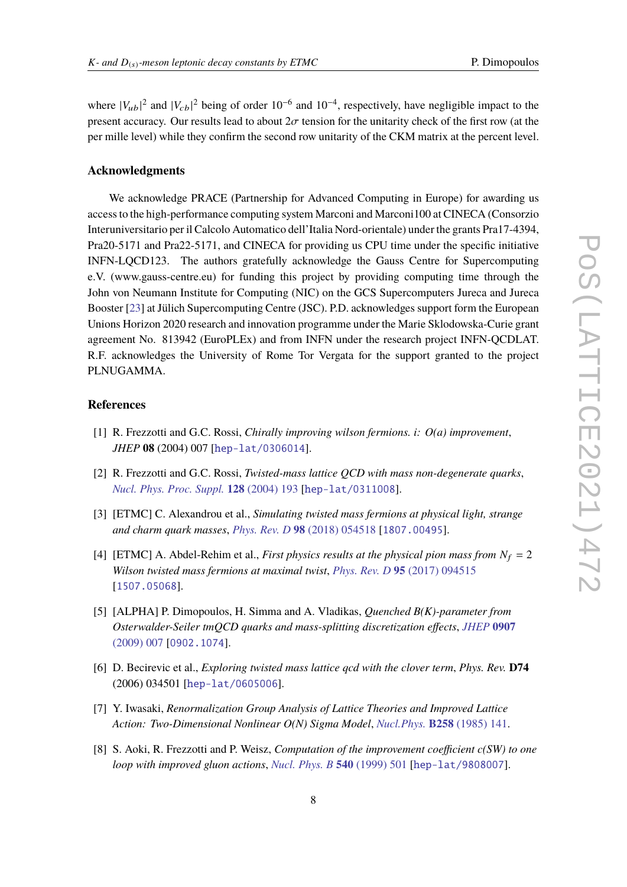where  $|V_{ub}|^2$  and  $|V_{cb}|^2$  being of order 10<sup>-6</sup> and 10<sup>-4</sup>, respectively, have negligible impact to the present accuracy. Our results lead to about  $2\sigma$  tension for the unitarity check of the first row (at the per mille level) while they confirm the second row unitarity of the CKM matrix at the percent level.

#### **Acknowledgments**

We acknowledge PRACE (Partnership for Advanced Computing in Europe) for awarding us access to the high-performance computing system Marconi and Marconi100 at CINECA (Consorzio Interuniversitario per il Calcolo Automatico dell'Italia Nord-orientale) under the grants Pra17-4394, Pra20-5171 and Pra22-5171, and CINECA for providing us CPU time under the specific initiative INFN-LQCD123. The authors gratefully acknowledge the Gauss Centre for Supercomputing e.V. (www.gauss-centre.eu) for funding this project by providing computing time through the John von Neumann Institute for Computing (NIC) on the GCS Supercomputers Jureca and Jureca Booster [\[23\]](#page-8-14) at Jülich Supercomputing Centre (JSC). P.D. acknowledges support form the European Unions Horizon 2020 research and innovation programme under the Marie Sklodowska-Curie grant agreement No. 813942 (EuroPLEx) and from INFN under the research project INFN-QCDLAT. R.F. acknowledges the University of Rome Tor Vergata for the support granted to the project PLNUGAMMA.

### **References**

- <span id="page-7-0"></span>[1] R. Frezzotti and G.C. Rossi, *Chirally improving wilson fermions. i: O(a) improvement*, *JHEP* **08** (2004) 007 [[hep-lat/0306014](https://arxiv.org/abs/hep-lat/0306014)].
- <span id="page-7-1"></span>[2] R. Frezzotti and G.C. Rossi, *Twisted-mass lattice QCD with mass non-degenerate quarks*, *[Nucl. Phys. Proc. Suppl.](https://doi.org/10.1016/S0920-5632(03)02477-0)* **128** (2004) 193 [[hep-lat/0311008](https://arxiv.org/abs/hep-lat/0311008)].
- <span id="page-7-2"></span>[3] [ETMC] C. Alexandrou et al., *Simulating twisted mass fermions at physical light, strange and charm quark masses*, *Phys. Rev. D* **98** [\(2018\) 054518](https://doi.org/10.1103/PhysRevD.98.054518) [[1807.00495](https://arxiv.org/abs/1807.00495)].
- [4] [ETMC] A. Abdel-Rehim et al., *First physics results at the physical pion mass from*  $N_f = 2$ *Wilson twisted mass fermions at maximal twist*, *Phys. Rev. D* **95** [\(2017\) 094515](https://doi.org/10.1103/PhysRevD.95.094515) [[1507.05068](https://arxiv.org/abs/1507.05068)].
- [5] [ALPHA] P. Dimopoulos, H. Simma and A. Vladikas, *Quenched B(K)-parameter from Osterwalder-Seiler tmQCD quarks and mass-splitting discretization effects*, *[JHEP](https://doi.org/10.1088/1126-6708/2009/07/007)* **0907** [\(2009\) 007](https://doi.org/10.1088/1126-6708/2009/07/007) [[0902.1074](https://arxiv.org/abs/0902.1074)].
- <span id="page-7-3"></span>[6] D. Becirevic et al., *Exploring twisted mass lattice qcd with the clover term*, *Phys. Rev.* **D74** (2006) 034501 [[hep-lat/0605006](https://arxiv.org/abs/hep-lat/0605006)].
- <span id="page-7-4"></span>[7] Y. Iwasaki, *Renormalization Group Analysis of Lattice Theories and Improved Lattice Action: Two-Dimensional Nonlinear O(N) Sigma Model*, *Nucl.Phys.* **B258** [\(1985\) 141.](https://doi.org/10.1016/0550-3213(85)90606-6)
- <span id="page-7-5"></span>[8] S. Aoki, R. Frezzotti and P. Weisz, *Computation of the improvement coefficient c(SW) to one loop with improved gluon actions*, *[Nucl. Phys. B](https://doi.org/10.1016/S0550-3213(98)00742-1)* **540** (1999) 501 [[hep-lat/9808007](https://arxiv.org/abs/hep-lat/9808007)].